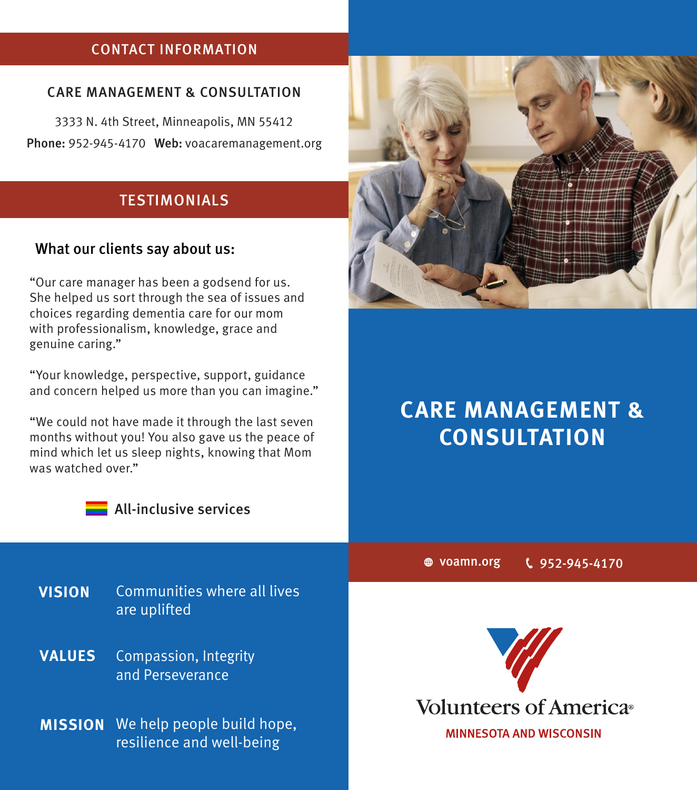## CONTACT INFORMATION

#### CARE MANAGEMENT & CONSULTATION

3333 N. 4th Street, Minneapolis, MN 55412 Phone: 952-945-4170 Web: voacaremanagement.org

#### **TESTIMONIALS**

#### What our clients say about us:

"Our care manager has been a godsend for us. She helped us sort through the sea of issues and choices regarding dementia care for our mom with professionalism, knowledge, grace and genuine caring."

"Your knowledge, perspective, support, guidance and concern helped us more than you can imagine."

"We could not have made it through the last seven months without you! You also gave us the peace of mind which let us sleep nights, knowing that Mom was watched over."



**All-inclusive services** 

**VISION** Communities where all lives are uplifted

Compassion, Integrity and Perseverance **VALUES**

**MISSION** We help people build hope, resilience and well-being



# **CARE MANAGEMENT & CONSULTATION**

voamn.org 952-945-4170